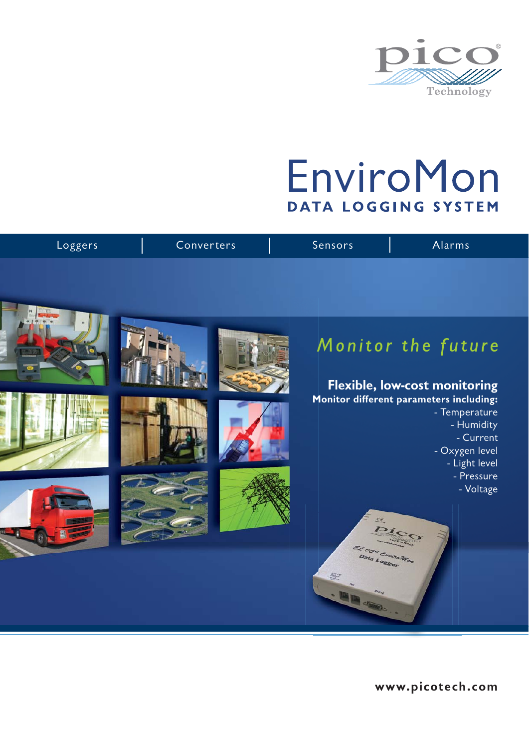

# EnviroMon DATA LOGGING SYSTEM

| Loggers | Converters | Sensors                                         | Alarms                                                                                                                 |
|---------|------------|-------------------------------------------------|------------------------------------------------------------------------------------------------------------------------|
|         |            |                                                 |                                                                                                                        |
|         |            |                                                 | Monitor the future<br>Flexible, low-cost monitoring                                                                    |
|         |            |                                                 | Monitor different parameters including:<br>- Temperature<br>- Humidity<br>- Current<br>- Oxygen level<br>- Light level |
|         |            | 52                                              | - Pressure<br>- Voltage                                                                                                |
|         |            | El 005 Emicra Mon<br>Data Logger<br>A of marker |                                                                                                                        |

**www.picotech.com**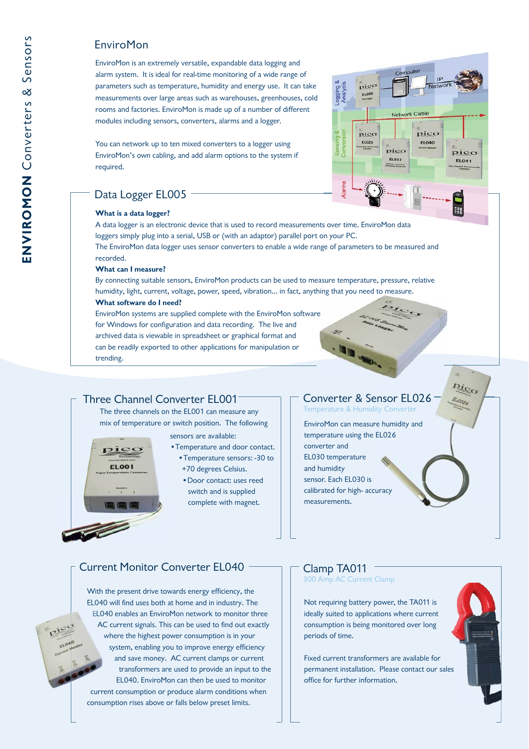Enviro Mon<br>
Similar sectembly versatile, expandable data logging and<br>
sharm system. It is ideal for real-time monitoring of a wide range of<br>
parameters can be also for real-time monitoring of a wide range of<br>
measurements EnviroMon is an extremely versatile, expandable data logging and alarm system. It is ideal for real-time monitoring of a wide range of parameters such as temperature, humidity and energy use. It can take measurements over large areas such as warehouses, greenhouses, cold rooms and factories. EnviroMon is made up of a number of different modules including sensors, converters, alarms and a logger.

You can network up to ten mixed converters to a logger using EnviroMon's own cabling, and add alarm options to the system if required.

# Data Logger EL005

#### **What is a data logger?**

A data logger is an electronic device that is used to record measurements over time. EnviroMon data loggers simply plug into a serial, USB or (with an adaptor) parallel port on your PC. The EnviroMon data logger uses sensor converters to enable a wide range of parameters to be measured and

#### **What can I measure?**

recorded.

By connecting suitable sensors, EnviroMon products can be used to measure temperature, pressure, relative humidity, light, current, voltage, power, speed, vibration... in fact, anything that you need to measure.

#### **What software do I need?**

EnviroMon systems are supplied complete with the EnviroMon software for Windows for configuration and data recording. The live and archived data is viewable in spreadsheet or graphical format and can be readily exported to other applications for manipulation or trending. EnviroMon systems are supplied complete with the EnviroMon software<br>for Windows for configuration and data recording. The live and<br>archived data is viewable in spreadsheet or graphical format and<br>can be readily exported to

The three channels on the EL001 can measure any mix of temperature or switch position. The following

sensors are available: se

## •Temperature and door contact. •T •Temperature sensors: -30 to

- +70 degrees Celsius.
- •Door contact: uses reed switch and is supplied complete with magnet.

### Converter & Sensor EL026<br>Temperature & Humidity Converter Temperature & Humidity Converter

IP Netw

> pico **EL041**

> > ₩

Pico

 $\overline{p}$ ico **EL040** 

EnviroMon can measure humidity and temperature using the EL026 converter and EL030 temperature and humidity sensor. Each EL030 is calibrated for high- accuracy measurements.

# Current Monitor Converter EL040

With the present drive towards energy efficiency, the EL040 will find uses both at home and in industry. The EL EL040 enables an EnviroMon network to monitor three EL AC current signals. This can be used to find out exactly A where the highest power consumption is in your system, enabling you to improve energy efficiency s and save money. AC current clamps or current transformers are used to provide an input to the EL040. EnviroMon can then be used to monitor current consumption or produce alarm conditions when consumption rises above or falls below preset limits.

# Clamp TA011

300 Amp AC Current Clamp

Not requiring battery power, the TA011 is ideally suited to applications where current consumption is being monitored over long periods of time.

Fixed current transformers are available for permanent installation. Please contact our sales office for further information.

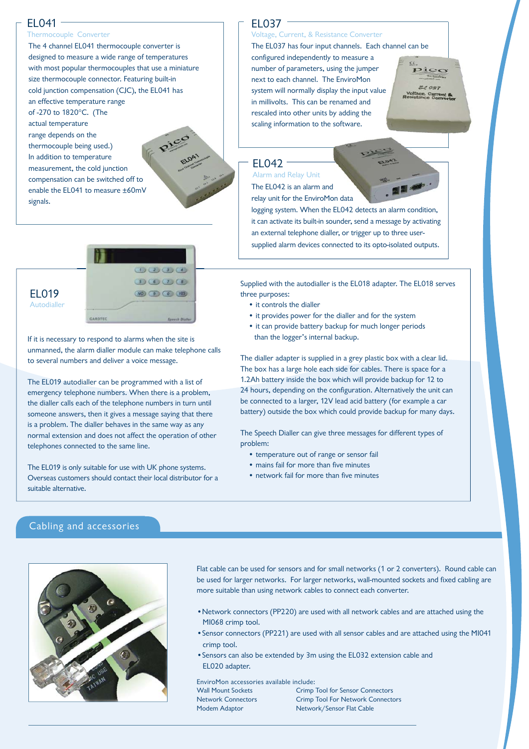### EL041

#### Thermocouple Converter

The 4 channel EL041 thermocouple converter is designed to measure a wide range of temperatures with most popular thermocouples that use a miniature size thermocouple connector. Featuring built-in cold junction compensation (CJC), the EL041 has an effective temperature range of -270 to 1820°C. (The actual temperature range depends on the thermocouple being used.)

In addition to temperature measurement, the cold junction compensation can be switched off to f to enable the EL041 to measure ±60mV signals.



If it is necessary to respond to alarms when the site is unmanned, the alarm dialler module can make telephone calls to several numbers and deliver a voice message.

The EL019 autodialler can be programmed with a list of emergency telephone numbers. When there is a problem, the dialler calls each of the telephone numbers in turn until someone answers, then it gives a message saying that there is a problem. The dialler behaves in the same way as any normal extension and does not affect the operation of other telephones connected to the same line.

The EL019 is only suitable for use with UK phone systems. Overseas customers should contact their local distributor for a suitable alternative.

# EL037

# Voltage, Current, & Resistance Converter

The EL037 has four input channels. Each channel can be

configured independently to measure a number of parameters, using the jumper next to each channel. The EnviroMon system will normally display the input value in millivolts. This can be renamed and rescaled into other units by adding the scaling information to the software.

Pico **EL 037** 

EL042

The EL042 is an alarm and relay unit for the EnviroMon data Alarm and Relay Unit

logging system. When the EL042 detects an alarm condition, it can activate its built-in sounder, send a message by activating an external telephone dialler, or trigger up to three usersupplied alarm devices connected to its opto-isolated outputs.

Supplied with the autodialler is the EL018 adapter. The EL018 serves three purposes:

- it controls the dialler
- it provides power for the dialler and for the system
- it can provide battery backup for much longer periods than the logger's internal backup.

The dialler adapter is supplied in a grey plastic box with a clear lid. The box has a large hole each side for cables. There is space for a 1.2Ah battery inside the box which will provide backup for 12 to 24 hours, depending on the configuration. Alternatively the unit can be connected to a larger, 12V lead acid battery (for example a car battery) outside the box which could provide backup for many days.

The Speech Dialler can give three messages for different types of problem:

- temperature out of range or sensor fail
- mains fail for more than five minutes
- network fail for more than five minutes

#### Cabling and accessories



Flat cable can be used for sensors and for small networks (1 or 2 converters). Round cable can be used for larger networks. For larger networks, wall-mounted sockets and fixed cabling are more suitable than using network cables to connect each converter.

- •Network connectors (PP220) are used with all network cables and are attached using the MI068 crimp tool.
- crimp tool. •Sensor connectors (PP221) are used with all sensor cables and are attached using the MI041
- •Sensors can also be extended by 3m using the EL032 extension cable and EL020 adapter.

EnviroMon accessories available include: Wall Mount Sockets Network Connectors Modem Adaptor

Crimp Tool for Sensor Connectors Crimp Tool For Network Connectors Network/Sensor Flat Cable